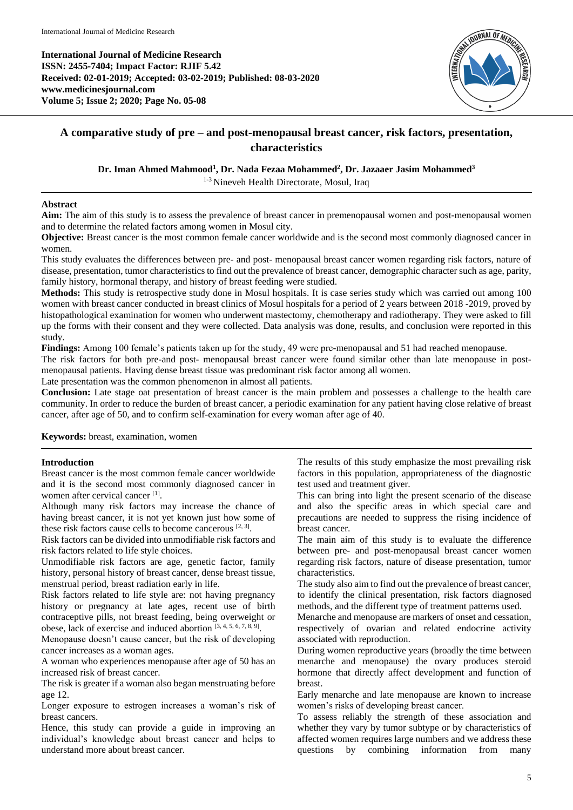**International Journal of Medicine Research ISSN: 2455-7404; Impact Factor: RJIF 5.42 Received: 02-01-2019; Accepted: 03-02-2019; Published: 08-03-2020 www.medicinesjournal.com Volume 5; Issue 2; 2020; Page No. 05-08**



# **A comparative study of pre – and post-menopausal breast cancer, risk factors, presentation, characteristics**

**Dr. Iman Ahmed Mahmood<sup>1</sup> , Dr. Nada Fezaa Mohammed<sup>2</sup> , Dr. Jazaaer Jasim Mohammed<sup>3</sup>**

1-3 Nineveh Health Directorate, Mosul, Iraq

## **Abstract**

**Aim:** The aim of this study is to assess the prevalence of breast cancer in premenopausal women and post-menopausal women and to determine the related factors among women in Mosul city.

**Objective:** Breast cancer is the most common female cancer worldwide and is the second most commonly diagnosed cancer in women.

This study evaluates the differences between pre- and post- menopausal breast cancer women regarding risk factors, nature of disease, presentation, tumor characteristics to find out the prevalence of breast cancer, demographic character such as age, parity, family history, hormonal therapy, and history of breast feeding were studied.

**Methods:** This study is retrospective study done in Mosul hospitals. It is case series study which was carried out among 100 women with breast cancer conducted in breast clinics of Mosul hospitals for a period of 2 years between 2018 -2019, proved by histopathological examination for women who underwent mastectomy, chemotherapy and radiotherapy. They were asked to fill up the forms with their consent and they were collected. Data analysis was done, results, and conclusion were reported in this study.

**Findings:** Among 100 female's patients taken up for the study, 49 were pre-menopausal and 51 had reached menopause.

The risk factors for both pre-and post- menopausal breast cancer were found similar other than late menopause in postmenopausal patients. Having dense breast tissue was predominant risk factor among all women.

Late presentation was the common phenomenon in almost all patients.

**Conclusion:** Late stage oat presentation of breast cancer is the main problem and possesses a challenge to the health care community. In order to reduce the burden of breast cancer, a periodic examination for any patient having close relative of breast cancer, after age of 50, and to confirm self-examination for every woman after age of 40.

**Keywords:** breast, examination, women

## **Introduction**

Breast cancer is the most common female cancer worldwide and it is the second most commonly diagnosed cancer in women after cervical cancer<sup>[1]</sup>.

Although many risk factors may increase the chance of having breast cancer, it is not yet known just how some of these risk factors cause cells to become cancerous  $[2, 3]$ .

Risk factors can be divided into unmodifiable risk factors and risk factors related to life style choices.

Unmodifiable risk factors are age, genetic factor, family history, personal history of breast cancer, dense breast tissue, menstrual period, breast radiation early in life.

Risk factors related to life style are: not having pregnancy history or pregnancy at late ages, recent use of birth contraceptive pills, not breast feeding, being overweight or obese, lack of exercise and induced abortion  $[3, 4, 5, 6, 7, 8, 9]$ .

Menopause doesn't cause cancer, but the risk of developing cancer increases as a woman ages.

A woman who experiences menopause after age of 50 has an increased risk of breast cancer.

The risk is greater if a woman also began menstruating before age 12.

Longer exposure to estrogen increases a woman's risk of breast cancers.

Hence, this study can provide a guide in improving an individual's knowledge about breast cancer and helps to understand more about breast cancer.

The results of this study emphasize the most prevailing risk factors in this population, appropriateness of the diagnostic test used and treatment giver.

This can bring into light the present scenario of the disease and also the specific areas in which special care and precautions are needed to suppress the rising incidence of breast cancer.

The main aim of this study is to evaluate the difference between pre- and post-menopausal breast cancer women regarding risk factors, nature of disease presentation, tumor characteristics.

The study also aim to find out the prevalence of breast cancer, to identify the clinical presentation, risk factors diagnosed methods, and the different type of treatment patterns used.

Menarche and menopause are markers of onset and cessation, respectively of ovarian and related endocrine activity associated with reproduction.

During women reproductive years (broadly the time between menarche and menopause) the ovary produces steroid hormone that directly affect development and function of breast.

Early menarche and late menopause are known to increase women's risks of developing breast cancer.

To assess reliably the strength of these association and whether they vary by tumor subtype or by characteristics of affected women requires large numbers and we address these questions by combining information from many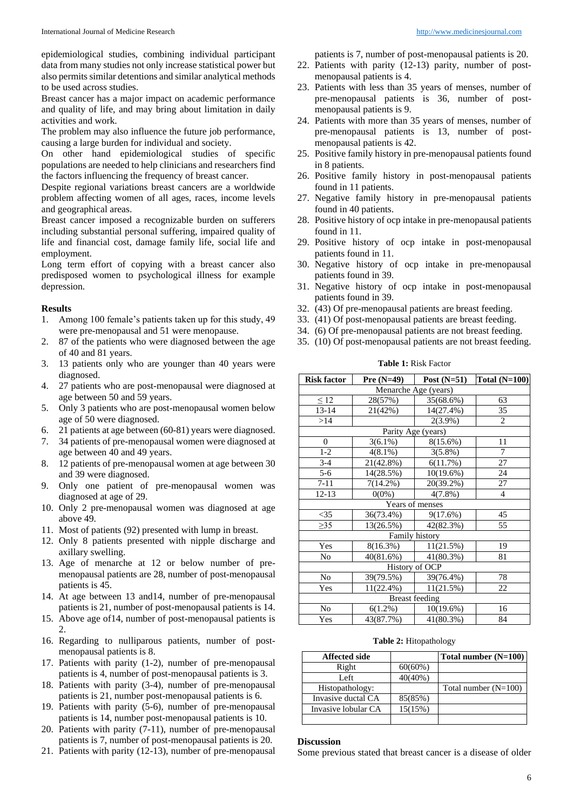epidemiological studies, combining individual participant data from many studies not only increase statistical power but also permits similar detentions and similar analytical methods to be used across studies.

Breast cancer has a major impact on academic performance and quality of life, and may bring about limitation in daily activities and work.

The problem may also influence the future job performance, causing a large burden for individual and society.

On other hand epidemiological studies of specific populations are needed to help clinicians and researchers find the factors influencing the frequency of breast cancer.

Despite regional variations breast cancers are a worldwide problem affecting women of all ages, races, income levels and geographical areas.

Breast cancer imposed a recognizable burden on sufferers including substantial personal suffering, impaired quality of life and financial cost, damage family life, social life and employment.

Long term effort of copying with a breast cancer also predisposed women to psychological illness for example depression.

### **Results**

- 1. Among 100 female's patients taken up for this study, 49 were pre-menopausal and 51 were menopause.
- 2. 87 of the patients who were diagnosed between the age of 40 and 81 years.
- 3. 13 patients only who are younger than 40 years were diagnosed.
- 4. 27 patients who are post-menopausal were diagnosed at age between 50 and 59 years.
- 5. Only 3 patients who are post-menopausal women below age of 50 were diagnosed.
- 6. 21 patients at age between (60-81) years were diagnosed.
- 7. 34 patients of pre-menopausal women were diagnosed at age between 40 and 49 years.
- 8. 12 patients of pre-menopausal women at age between 30 and 39 were diagnosed.
- 9. Only one patient of pre-menopausal women was diagnosed at age of 29.
- 10. Only 2 pre-menopausal women was diagnosed at age above 49.
- 11. Most of patients (92) presented with lump in breast.
- 12. Only 8 patients presented with nipple discharge and axillary swelling.
- 13. Age of menarche at 12 or below number of premenopausal patients are 28, number of post-menopausal patients is 45.
- 14. At age between 13 and14, number of pre-menopausal patients is 21, number of post-menopausal patients is 14.
- 15. Above age of14, number of post-menopausal patients is 2.
- 16. Regarding to nulliparous patients, number of postmenopausal patients is 8.
- 17. Patients with parity (1-2), number of pre-menopausal patients is 4, number of post-menopausal patients is 3.
- 18. Patients with parity (3-4), number of pre-menopausal patients is 21, number post-menopausal patients is 6.
- 19. Patients with parity (5-6), number of pre-menopausal patients is 14, number post-menopausal patients is 10.
- 20. Patients with parity (7-11), number of pre-menopausal patients is 7, number of post-menopausal patients is 20.
- 21. Patients with parity (12-13), number of pre-menopausal

patients is 7, number of post-menopausal patients is 20.

- 22. Patients with parity (12-13) parity, number of postmenopausal patients is 4.
- 23. Patients with less than 35 years of menses, number of pre-menopausal patients is 36, number of postmenopausal patients is 9.
- 24. Patients with more than 35 years of menses, number of pre-menopausal patients is 13, number of postmenopausal patients is 42.
- 25. Positive family history in pre-menopausal patients found in 8 patients.
- 26. Positive family history in post-menopausal patients found in 11 patients.
- 27. Negative family history in pre-menopausal patients found in 40 patients.
- 28. Positive history of ocp intake in pre-menopausal patients found in 11.
- 29. Positive history of ocp intake in post-menopausal patients found in 11.
- 30. Negative history of ocp intake in pre-menopausal patients found in 39.
- 31. Negative history of ocp intake in post-menopausal patients found in 39.
- 32. (43) Of pre-menopausal patients are breast feeding.
- 33. (41) Of post-menopausal patients are breast feeding.
- 34. (6) Of pre-menopausal patients are not breast feeding.
- 35. (10) Of post-menopausal patients are not breast feeding.

| <b>Risk factor</b>    | Pre $(N=49)$ | Post $(N=51)$ | Total $(N=100)$ |  |
|-----------------------|--------------|---------------|-----------------|--|
| Menarche Age (years)  |              |               |                 |  |
| $\leq 12$             | 28(57%)      | 35(68.6%)     | 63              |  |
| 13-14                 | 21(42%)      | 14(27.4%)     | 35              |  |
| >14                   |              | $2(3.9\%)$    | 2               |  |
| Parity Age (years)    |              |               |                 |  |
| $\overline{0}$        | $3(6.1\%)$   | 8(15.6%)      | 11              |  |
| $1 - 2$               | $4(8.1\%)$   | $3(5.8\%)$    | $\overline{7}$  |  |
| $3-4$                 | 21(42.8%)    | 6(11.7%)      | 27              |  |
| $5 - 6$               | 14(28.5%)    | $10(19.6\%)$  | 24              |  |
| $7 - 11$              | $7(14.2\%)$  | 20(39.2%)     | 27              |  |
| 12-13                 | $0(0\%)$     | $4(7.8\%)$    | $\overline{4}$  |  |
| Years of menses       |              |               |                 |  |
| $<$ 35                | 36(73.4%)    | 9(17.6%)      | 45              |  |
| $\geq$ 35             | 13(26.5%)    | 42(82.3%)     | 55              |  |
| <b>Family history</b> |              |               |                 |  |
| Yes                   | 8(16.3%)     | 11(21.5%)     | 19              |  |
| No                    | 40(81.6%)    | 41(80.3%)     | 81              |  |
| History of OCP        |              |               |                 |  |
| No                    | 39(79.5%)    | 39(76.4%)     | 78              |  |
| Yes                   | $11(22.4\%)$ | 11(21.5%)     | 22              |  |
| <b>Breast</b> feeding |              |               |                 |  |
| N <sub>0</sub>        | $6(1.2\%)$   | $10(19.6\%)$  | 16              |  |
| Yes                   | 43(87.7%)    | 41(80.3%)     | 84              |  |

**Table 1:** Risk Factor

**Table 2:** Hitopathology

| <b>Affected side</b> |            | Total number (N=100)   |
|----------------------|------------|------------------------|
| Right                | $60(60\%)$ |                        |
| Left                 | $40(40\%)$ |                        |
| Histopathology:      |            | Total number $(N=100)$ |
| Invasive ductal CA   | 85(85%)    |                        |
| Invasive lobular CA  | 15(15%)    |                        |
|                      |            |                        |

#### **Discussion**

Some previous stated that breast cancer is a disease of older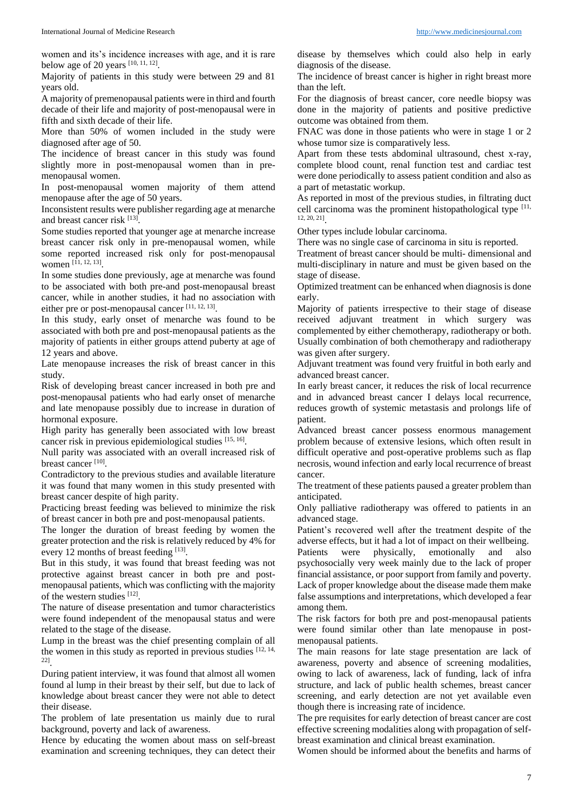women and its's incidence increases with age, and it is rare below age of 20 years  $[10, 11, 12]$ .

Majority of patients in this study were between 29 and 81 years old.

A majority of premenopausal patients were in third and fourth decade of their life and majority of post-menopausal were in fifth and sixth decade of their life.

More than 50% of women included in the study were diagnosed after age of 50.

The incidence of breast cancer in this study was found slightly more in post-menopausal women than in premenopausal women.

In post-menopausal women majority of them attend menopause after the age of 50 years.

Inconsistent results were publisher regarding age at menarche and breast cancer risk [13].

Some studies reported that younger age at menarche increase breast cancer risk only in pre-menopausal women, while some reported increased risk only for post-menopausal women [11, 12, 13] .

In some studies done previously, age at menarche was found to be associated with both pre-and post-menopausal breast cancer, while in another studies, it had no association with either pre or post-menopausal cancer  $[11, 12, 13]$ .

In this study, early onset of menarche was found to be associated with both pre and post-menopausal patients as the majority of patients in either groups attend puberty at age of 12 years and above.

Late menopause increases the risk of breast cancer in this study.

Risk of developing breast cancer increased in both pre and post-menopausal patients who had early onset of menarche and late menopause possibly due to increase in duration of hormonal exposure.

High parity has generally been associated with low breast cancer risk in previous epidemiological studies [15, 16].

Null parity was associated with an overall increased risk of breast cancer<sup>[10]</sup>.

Contradictory to the previous studies and available literature it was found that many women in this study presented with breast cancer despite of high parity.

Practicing breast feeding was believed to minimize the risk of breast cancer in both pre and post-menopausal patients.

The longer the duration of breast feeding by women the greater protection and the risk is relatively reduced by 4% for every 12 months of breast feeding [13].

But in this study, it was found that breast feeding was not protective against breast cancer in both pre and postmenopausal patients, which was conflicting with the majority of the western studies [12].

The nature of disease presentation and tumor characteristics were found independent of the menopausal status and were related to the stage of the disease.

Lump in the breast was the chief presenting complain of all the women in this study as reported in previous studies  $[12, 14, 14]$ 22] .

During patient interview, it was found that almost all women found al lump in their breast by their self, but due to lack of knowledge about breast cancer they were not able to detect their disease.

The problem of late presentation us mainly due to rural background, poverty and lack of awareness.

Hence by educating the women about mass on self-breast examination and screening techniques, they can detect their

disease by themselves which could also help in early diagnosis of the disease.

The incidence of breast cancer is higher in right breast more than the left.

For the diagnosis of breast cancer, core needle biopsy was done in the majority of patients and positive predictive outcome was obtained from them.

FNAC was done in those patients who were in stage 1 or 2 whose tumor size is comparatively less.

Apart from these tests abdominal ultrasound, chest x-ray, complete blood count, renal function test and cardiac test were done periodically to assess patient condition and also as a part of metastatic workup.

As reported in most of the previous studies, in filtrating duct cell carcinoma was the prominent histopathological type [11, 12, 20, 21] .

Other types include lobular carcinoma.

There was no single case of carcinoma in situ is reported.

Treatment of breast cancer should be multi- dimensional and multi-disciplinary in nature and must be given based on the stage of disease.

Optimized treatment can be enhanced when diagnosis is done early.

Majority of patients irrespective to their stage of disease received adjuvant treatment in which surgery was complemented by either chemotherapy, radiotherapy or both. Usually combination of both chemotherapy and radiotherapy was given after surgery.

Adjuvant treatment was found very fruitful in both early and advanced breast cancer.

In early breast cancer, it reduces the risk of local recurrence and in advanced breast cancer I delays local recurrence, reduces growth of systemic metastasis and prolongs life of patient.

Advanced breast cancer possess enormous management problem because of extensive lesions, which often result in difficult operative and post-operative problems such as flap necrosis, wound infection and early local recurrence of breast cancer.

The treatment of these patients paused a greater problem than anticipated.

Only palliative radiotherapy was offered to patients in an advanced stage.

Patient's recovered well after the treatment despite of the adverse effects, but it had a lot of impact on their wellbeing.

Patients were physically, emotionally and also psychosocially very week mainly due to the lack of proper financial assistance, or poor support from family and poverty. Lack of proper knowledge about the disease made them make false assumptions and interpretations, which developed a fear among them.

The risk factors for both pre and post-menopausal patients were found similar other than late menopause in postmenopausal patients.

The main reasons for late stage presentation are lack of awareness, poverty and absence of screening modalities, owing to lack of awareness, lack of funding, lack of infra structure, and lack of public health schemes, breast cancer screening, and early detection are not yet available even though there is increasing rate of incidence.

The pre requisites for early detection of breast cancer are cost effective screening modalities along with propagation of selfbreast examination and clinical breast examination.

Women should be informed about the benefits and harms of